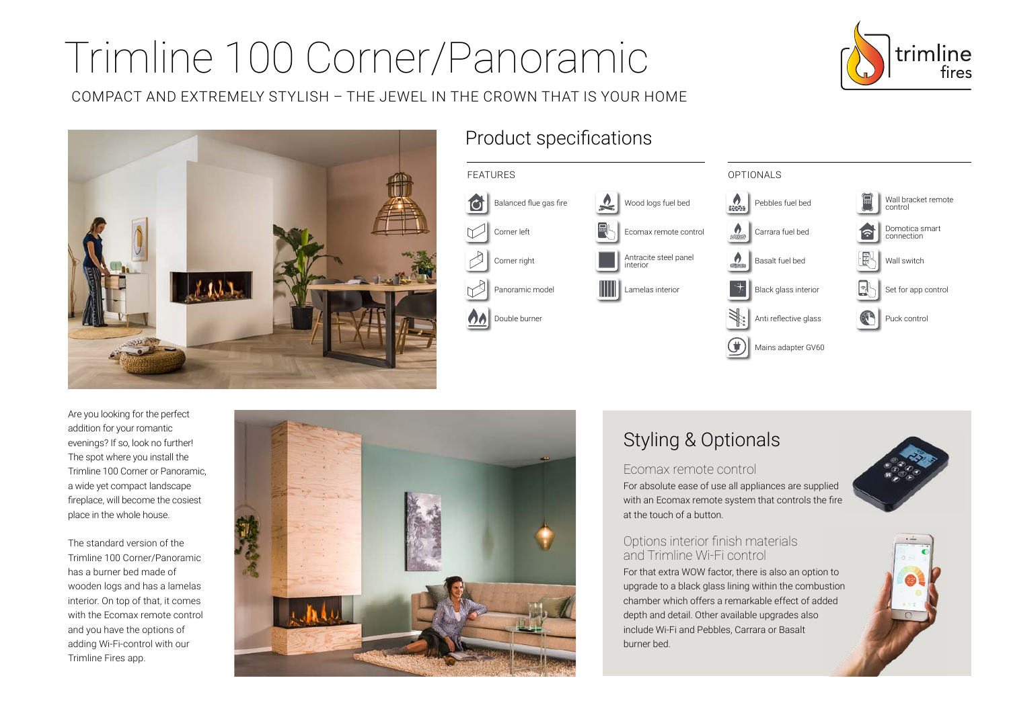# Trimline 100 Corner/Panoramic

COMPACT AND EXTREMELY STYLISH – THE JEWEL IN THE CROWN THAT IS YOUR HOME





## Product specifications



Are you looking for the perfect addition for your romantic evenings? If so, look no further! The spot where you install the Trimline 100 Corner or Panoramic, a wide yet compact landscape fireplace, will become the cosiest place in the whole house.

The standard version of the Trimline 100 Corner/Panoramic has a burner bed made of wooden logs and has a lamelas interior. On top of that, it comes with the Ecomax remote control and you have the options of adding Wi-Fi-control with our Trimline Fires app.



# Styling & Optionals

#### Ecomax remote control

For absolute ease of use all appliances are supplied with an Ecomax remote system that controls the fire at the touch of a button.

## Options interior finish materials and Trimline Wi-Fi control

For that extra WOW factor, there is also an option to upgrade to a black glass lining within the combustion chamber which offers a remarkable effect of added depth and detail. Other available upgrades also include Wi-Fi and Pebbles, Carrara or Basalt burner bed.